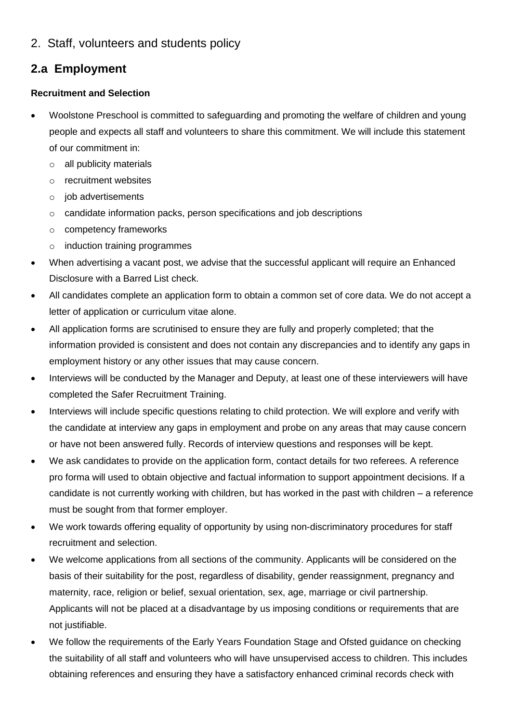2. Staff, volunteers and students policy

# **2.a Employment**

## **Recruitment and Selection**

- Woolstone Preschool is committed to safeguarding and promoting the welfare of children and young people and expects all staff and volunteers to share this commitment. We will include this statement of our commitment in:
	- o all publicity materials
	- o recruitment websites
	- o job advertisements
	- o candidate information packs, person specifications and job descriptions
	- o competency frameworks
	- o induction training programmes
- When advertising a vacant post, we advise that the successful applicant will require an Enhanced Disclosure with a Barred List check.
- All candidates complete an application form to obtain a common set of core data. We do not accept a letter of application or curriculum vitae alone.
- All application forms are scrutinised to ensure they are fully and properly completed; that the information provided is consistent and does not contain any discrepancies and to identify any gaps in employment history or any other issues that may cause concern.
- Interviews will be conducted by the Manager and Deputy, at least one of these interviewers will have completed the Safer Recruitment Training.
- Interviews will include specific questions relating to child protection. We will explore and verify with the candidate at interview any gaps in employment and probe on any areas that may cause concern or have not been answered fully. Records of interview questions and responses will be kept.
- We ask candidates to provide on the application form, contact details for two referees. A reference pro forma will used to obtain objective and factual information to support appointment decisions. If a candidate is not currently working with children, but has worked in the past with children – a reference must be sought from that former employer.
- We work towards offering equality of opportunity by using non-discriminatory procedures for staff recruitment and selection.
- We welcome applications from all sections of the community. Applicants will be considered on the basis of their suitability for the post, regardless of disability, gender reassignment, pregnancy and maternity, race, religion or belief, sexual orientation, sex, age, marriage or civil partnership. Applicants will not be placed at a disadvantage by us imposing conditions or requirements that are not justifiable.
- We follow the requirements of the Early Years Foundation Stage and Ofsted guidance on checking the suitability of all staff and volunteers who will have unsupervised access to children. This includes obtaining references and ensuring they have a satisfactory enhanced criminal records check with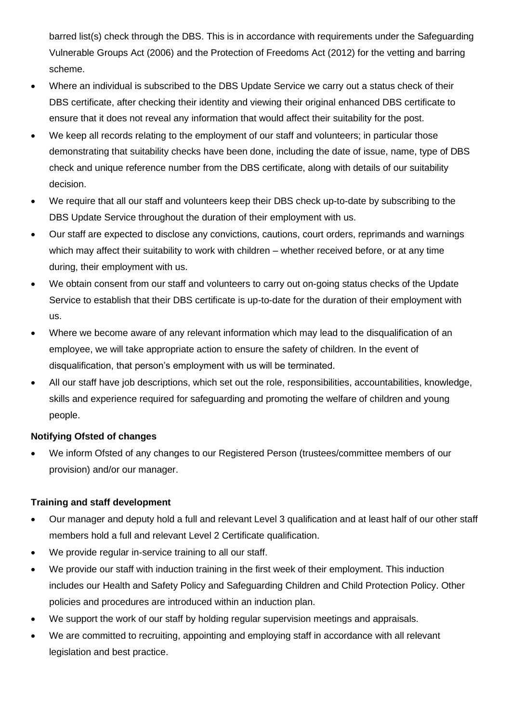barred list(s) check through the DBS. This is in accordance with requirements under the Safeguarding Vulnerable Groups Act (2006) and the Protection of Freedoms Act (2012) for the vetting and barring scheme.

- Where an individual is subscribed to the DBS Update Service we carry out a status check of their DBS certificate, after checking their identity and viewing their original enhanced DBS certificate to ensure that it does not reveal any information that would affect their suitability for the post.
- We keep all records relating to the employment of our staff and volunteers; in particular those demonstrating that suitability checks have been done, including the date of issue, name, type of DBS check and unique reference number from the DBS certificate, along with details of our suitability decision.
- We require that all our staff and volunteers keep their DBS check up-to-date by subscribing to the DBS Update Service throughout the duration of their employment with us.
- Our staff are expected to disclose any convictions, cautions, court orders, reprimands and warnings which may affect their suitability to work with children – whether received before, or at any time during, their employment with us.
- We obtain consent from our staff and volunteers to carry out on-going status checks of the Update Service to establish that their DBS certificate is up-to-date for the duration of their employment with us.
- Where we become aware of any relevant information which may lead to the disqualification of an employee, we will take appropriate action to ensure the safety of children. In the event of disqualification, that person's employment with us will be terminated.
- All our staff have job descriptions, which set out the role, responsibilities, accountabilities, knowledge, skills and experience required for safeguarding and promoting the welfare of children and young people.

## **Notifying Ofsted of changes**

• We inform Ofsted of any changes to our Registered Person (trustees/committee members of our provision) and/or our manager.

### **Training and staff development**

- Our manager and deputy hold a full and relevant Level 3 qualification and at least half of our other staff members hold a full and relevant Level 2 Certificate qualification.
- We provide regular in-service training to all our staff.
- We provide our staff with induction training in the first week of their employment. This induction includes our Health and Safety Policy and Safeguarding Children and Child Protection Policy. Other policies and procedures are introduced within an induction plan.
- We support the work of our staff by holding regular supervision meetings and appraisals.
- We are committed to recruiting, appointing and employing staff in accordance with all relevant legislation and best practice.